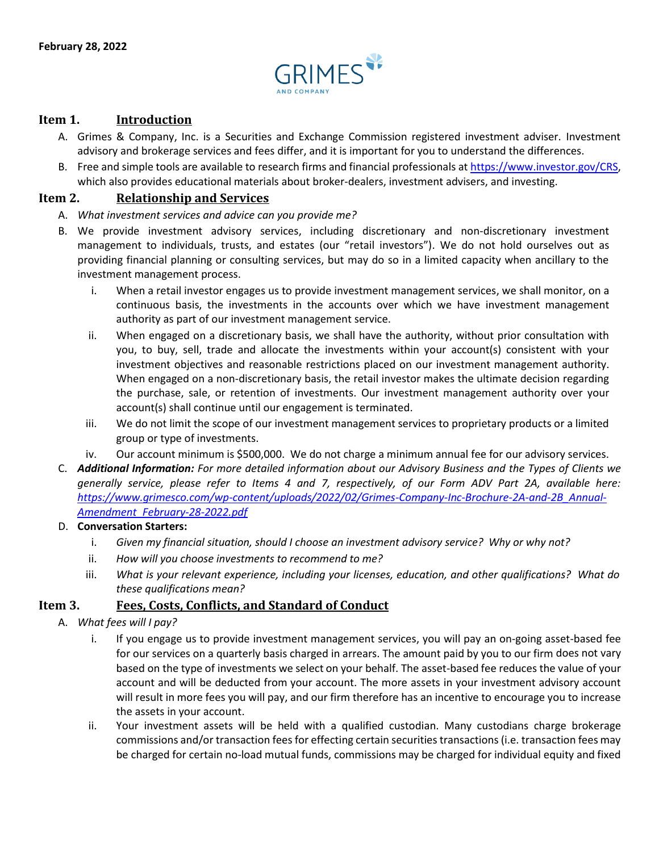

## **Item 1. Introduction**

- A. Grimes & Company, Inc. is a Securities and Exchange Commission registered investment adviser. Investment advisory and brokerage services and fees differ, and it is important for you to understand the differences.
- B. Free and simple tools are available to research firms and financial professionals at [https://www.investor.gov/CRS,](https://www.investor.gov/CRS) which also provides educational materials about broker-dealers, investment advisers, and investing.

### **Item 2. Relationship and Services**

- A. *What investment services and advice can you provide me?*
- B. We provide investment advisory services, including discretionary and non-discretionary investment management to individuals, trusts, and estates (our "retail investors"). We do not hold ourselves out as providing financial planning or consulting services, but may do so in a limited capacity when ancillary to the investment management process.
	- i. When a retail investor engages us to provide investment management services, we shall monitor, on a continuous basis, the investments in the accounts over which we have investment management authority as part of our investment management service.
	- ii. When engaged on a discretionary basis, we shall have the authority, without prior consultation with you, to buy, sell, trade and allocate the investments within your account(s) consistent with your investment objectives and reasonable restrictions placed on our investment management authority. When engaged on a non-discretionary basis, the retail investor makes the ultimate decision regarding the purchase, sale, or retention of investments. Our investment management authority over your account(s) shall continue until our engagement is terminated.
	- iii. We do not limit the scope of our investment management services to proprietary products or a limited group or type of investments.
	- iv. Our account minimum is \$500,000. We do not charge a minimum annual fee for our advisory services.
- C. *Additional Information: For more detailed information about our Advisory Business and the Types of Clients we generally service, please refer to Items 4 and 7, respectively, of our Form ADV Part 2A, available here:* https://www.grimesco.com/wp-content/uploads/2022/02/Grimes-Company-Inc-Brochure-2A-and-2B\_Annual-*Amendment\_February-28-2022.pdf*

#### D. **Conversation Starters:**

- i. *Given my financial situation, should I choose an investment advisory service? Why or why not?*
- ii. *How will you choose investments to recommend to me?*
- iii. *What is your relevant experience, including your licenses, education, and other qualifications? What do these qualifications mean?*

### **Item 3. Fees, Costs, Conflicts, and Standard of Conduct**

- A. *What fees will I pay?*
	- i. If you engage us to provide investment management services, you will pay an on-going asset-based fee for our services on a quarterly basis charged in arrears. The amount paid by you to our firm does not vary based on the type of investments we select on your behalf. The asset‐based fee reduces the value of your account and will be deducted from your account. The more assets in your investment advisory account will result in more fees you will pay, and our firm therefore has an incentive to encourage you to increase the assets in your account.
	- ii. Your investment assets will be held with a qualified custodian. Many custodians charge brokerage commissions and/or transaction fees for effecting certain securities transactions (i.e. transaction fees may be charged for certain no-load mutual funds, commissions may be charged for individual equity and fixed